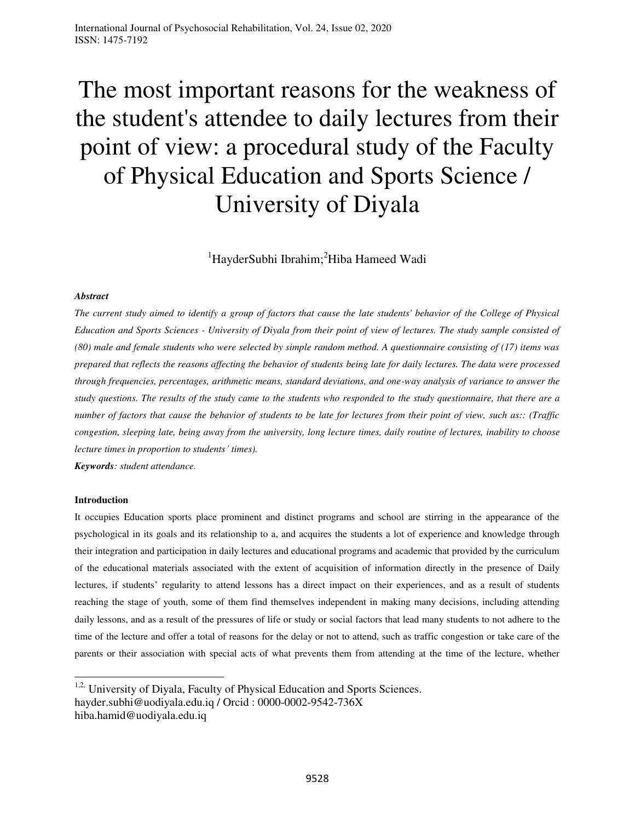# The most important reasons for the weakness of the student's attendee to daily lectures from their point of view: a procedural study of the Faculty of Physical Education and Sports Science / University of Diyala

<sup>1</sup>HayderSubhi Ibrahim;<sup>2</sup>Hiba Hameed Wadi

# *Abstract*

*The current study aimed to identify a group of factors that cause the late students' behavior of the College of Physical Education and Sports Sciences - University of Diyala from their point of view of lectures. The study sample consisted of (80) male and female students who were selected by simple random method. A questionnaire consisting of (17) items was prepared that reflects the reasons affecting the behavior of students being late for daily lectures. The data were processed through frequencies, percentages, arithmetic means, standard deviations, and one-way analysis of variance to answer the study questions. The results of the study came to the students who responded to the study questionnaire, that there are a number of factors that cause the behavior of students to be late for lectures from their point of view, such as:: (Traffic congestion, sleeping late, being away from the university, long lecture times, daily routine of lectures, inability to choose lecture times in proportion to students' times).* 

*Keywords: student attendance.* 

# **Introduction**

l

It occupies Education sports place prominent and distinct programs and school are stirring in the appearance of the psychological in its goals and its relationship to a, and acquires the students a lot of experience and knowledge through their integration and participation in daily lectures and educational programs and academic that provided by the curriculum of the educational materials associated with the extent of acquisition of information directly in the presence of Daily lectures, if students' regularity to attend lessons has a direct impact on their experiences, and as a result of students reaching the stage of youth, some of them find themselves independent in making many decisions, including attending daily lessons, and as a result of the pressures of life or study or social factors that lead many students to not adhere to the time of the lecture and offer a total of reasons for the delay or not to attend, such as traffic congestion or take care of the parents or their association with special acts of what prevents them from attending at the time of the lecture, whether

<sup>&</sup>lt;sup>1,2,</sup> University of Diyala, Faculty of Physical Education and Sports Sciences. hayder.subhi@uodiyala.edu.iq / Orcid : 0000-0002-9542-736X hiba.hamid@uodiyala.edu.iq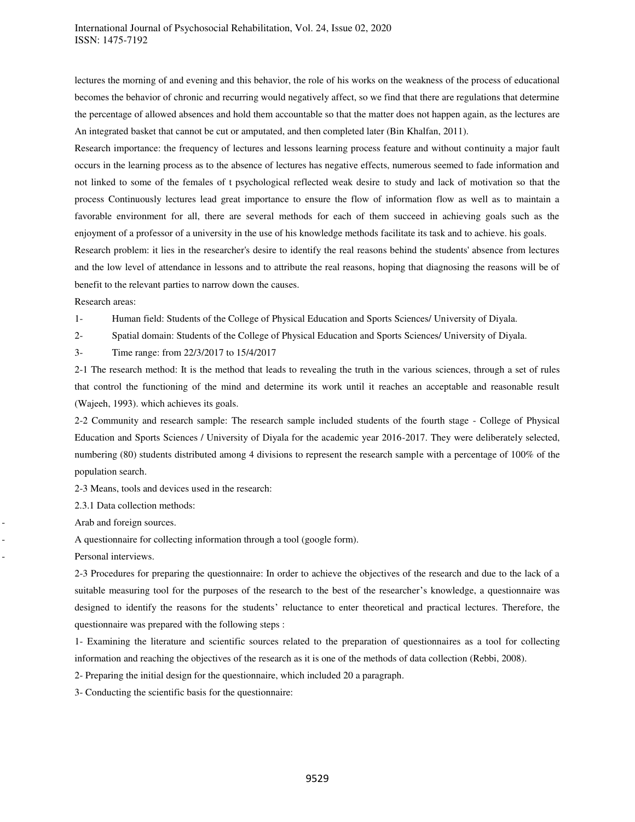lectures the morning of and evening and this behavior, the role of his works on the weakness of the process of educational becomes the behavior of chronic and recurring would negatively affect, so we find that there are regulations that determine the percentage of allowed absences and hold them accountable so that the matter does not happen again, as the lectures are An integrated basket that cannot be cut or amputated, and then completed later (Bin Khalfan, 2011).

Research importance: the frequency of lectures and lessons learning process feature and without continuity a major fault occurs in the learning process as to the absence of lectures has negative effects, numerous seemed to fade information and not linked to some of the females of t psychological reflected weak desire to study and lack of motivation so that the process Continuously lectures lead great importance to ensure the flow of information flow as well as to maintain a favorable environment for all, there are several methods for each of them succeed in achieving goals such as the enjoyment of a professor of a university in the use of his knowledge methods facilitate its task and to achieve. his goals.

Research problem: it lies in the researcher's desire to identify the real reasons behind the students' absence from lectures and the low level of attendance in lessons and to attribute the real reasons, hoping that diagnosing the reasons will be of benefit to the relevant parties to narrow down the causes.

Research areas:

1- Human field: Students of the College of Physical Education and Sports Sciences/ University of Diyala.

2- Spatial domain: Students of the College of Physical Education and Sports Sciences/ University of Diyala.

3- Time range: from 22/3/2017 to 15/4/2017

2-1 The research method: It is the method that leads to revealing the truth in the various sciences, through a set of rules that control the functioning of the mind and determine its work until it reaches an acceptable and reasonable result (Wajeeh, 1993). which achieves its goals.

2-2 Community and research sample: The research sample included students of the fourth stage - College of Physical Education and Sports Sciences / University of Diyala for the academic year 2016-2017. They were deliberately selected, numbering (80) students distributed among 4 divisions to represent the research sample with a percentage of 100% of the population search.

2-3 Means, tools and devices used in the research:

2.3.1 Data collection methods:

Arab and foreign sources.

- A questionnaire for collecting information through a tool (google form).

Personal interviews.

2-3 Procedures for preparing the questionnaire: In order to achieve the objectives of the research and due to the lack of a suitable measuring tool for the purposes of the research to the best of the researcher's knowledge, a questionnaire was designed to identify the reasons for the students' reluctance to enter theoretical and practical lectures. Therefore, the questionnaire was prepared with the following steps :

1- Examining the literature and scientific sources related to the preparation of questionnaires as a tool for collecting information and reaching the objectives of the research as it is one of the methods of data collection (Rebbi, 2008).

2- Preparing the initial design for the questionnaire, which included 20 a paragraph.

3- Conducting the scientific basis for the questionnaire: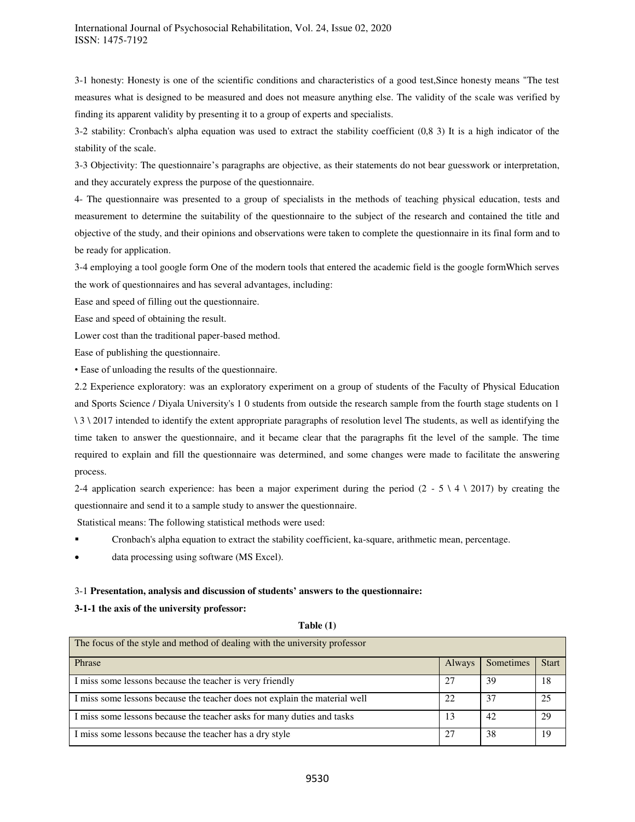3-1 honesty: Honesty is one of the scientific conditions and characteristics of a good test,Since honesty means "The test measures what is designed to be measured and does not measure anything else. The validity of the scale was verified by finding its apparent validity by presenting it to a group of experts and specialists.

3-2 stability: Cronbach's alpha equation was used to extract the stability coefficient (0,8 3) It is a high indicator of the stability of the scale.

3-3 Objectivity: The questionnaire's paragraphs are objective, as their statements do not bear guesswork or interpretation, and they accurately express the purpose of the questionnaire.

4- The questionnaire was presented to a group of specialists in the methods of teaching physical education, tests and measurement to determine the suitability of the questionnaire to the subject of the research and contained the title and objective of the study, and their opinions and observations were taken to complete the questionnaire in its final form and to be ready for application.

3-4 employing a tool google form One of the modern tools that entered the academic field is the google formWhich serves the work of questionnaires and has several advantages, including:

Ease and speed of filling out the questionnaire.

Ease and speed of obtaining the result.

Lower cost than the traditional paper-based method.

Ease of publishing the questionnaire.

• Ease of unloading the results of the questionnaire.

2.2 Experience exploratory: was an exploratory experiment on a group of students of the Faculty of Physical Education and Sports Science / Diyala University's 1 0 students from outside the research sample from the fourth stage students on 1 \ 3 \ 2017 intended to identify the extent appropriate paragraphs of resolution level The students, as well as identifying the time taken to answer the questionnaire, and it became clear that the paragraphs fit the level of the sample. The time required to explain and fill the questionnaire was determined, and some changes were made to facilitate the answering process.

2-4 application search experience: has been a major experiment during the period (2 - 5  $\setminus$  4  $\setminus$  2017) by creating the questionnaire and send it to a sample study to answer the questionnaire.

Statistical means: The following statistical methods were used:

- Cronbach's alpha equation to extract the stability coefficient, ka-square, arithmetic mean, percentage.
- data processing using software (MS Excel).

# 3-1 **Presentation, analysis and discussion of students' answers to the questionnaire:**

# **3-1-1 the axis of the university professor:**

| The focus of the style and method of dealing with the university professor |               |           |              |  |
|----------------------------------------------------------------------------|---------------|-----------|--------------|--|
| Phrase                                                                     | <b>Always</b> | Sometimes | <b>Start</b> |  |
| I miss some lessons because the teacher is very friendly                   |               | 39        | 18           |  |
| I miss some lessons because the teacher does not explain the material well | 22            | 37        | 25           |  |
| I miss some lessons because the teacher asks for many duties and tasks     | 13            | 42        | 29           |  |
| I miss some lessons because the teacher has a dry style                    | 27            | 38        | 19           |  |

# **Table (1)**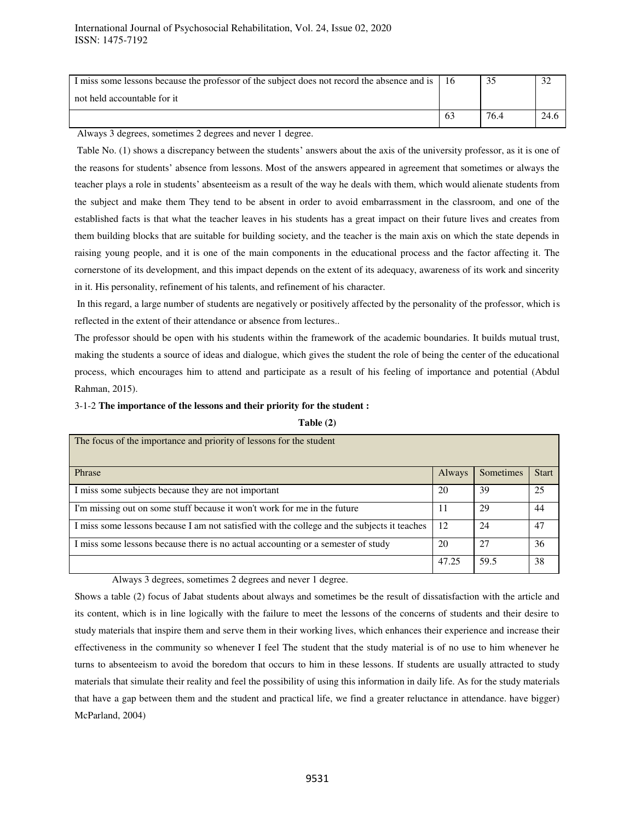| I miss some lessons because the professor of the subject does not record the absence and is   16 |    |      |      |
|--------------------------------------------------------------------------------------------------|----|------|------|
| not held accountable for it                                                                      |    |      |      |
|                                                                                                  | 63 | 76.4 | 24.f |

Always 3 degrees, sometimes 2 degrees and never 1 degree.

 Table No. (1) shows a discrepancy between the students' answers about the axis of the university professor, as it is one of the reasons for students' absence from lessons. Most of the answers appeared in agreement that sometimes or always the teacher plays a role in students' absenteeism as a result of the way he deals with them, which would alienate students from the subject and make them They tend to be absent in order to avoid embarrassment in the classroom, and one of the established facts is that what the teacher leaves in his students has a great impact on their future lives and creates from them building blocks that are suitable for building society, and the teacher is the main axis on which the state depends in raising young people, and it is one of the main components in the educational process and the factor affecting it. The cornerstone of its development, and this impact depends on the extent of its adequacy, awareness of its work and sincerity in it. His personality, refinement of his talents, and refinement of his character.

 In this regard, a large number of students are negatively or positively affected by the personality of the professor, which is reflected in the extent of their attendance or absence from lectures..

The professor should be open with his students within the framework of the academic boundaries. It builds mutual trust, making the students a source of ideas and dialogue, which gives the student the role of being the center of the educational process, which encourages him to attend and participate as a result of his feeling of importance and potential (Abdul Rahman, 2015).

#### 3-1-2 **The importance of the lessons and their priority for the student :**

#### **Table (2)**

| The focus of the importance and priority of lessons for the student                         |        |           |              |
|---------------------------------------------------------------------------------------------|--------|-----------|--------------|
| Phrase                                                                                      | Always | Sometimes | <b>Start</b> |
| I miss some subjects because they are not important                                         | 20     | 39        | 25           |
| I'm missing out on some stuff because it won't work for me in the future                    | 11     | 29        | 44           |
| I miss some lessons because I am not satisfied with the college and the subjects it teaches | 12     | 24        | 47           |
| I miss some lessons because there is no actual accounting or a semester of study            | 20     | 27        | 36           |
|                                                                                             | 47.25  | 59.5      | 38           |

Always 3 degrees, sometimes 2 degrees and never 1 degree.

Shows a table (2) focus of Jabat students about always and sometimes be the result of dissatisfaction with the article and its content, which is in line logically with the failure to meet the lessons of the concerns of students and their desire to study materials that inspire them and serve them in their working lives, which enhances their experience and increase their effectiveness in the community so whenever I feel The student that the study material is of no use to him whenever he turns to absenteeism to avoid the boredom that occurs to him in these lessons. If students are usually attracted to study materials that simulate their reality and feel the possibility of using this information in daily life. As for the study materials that have a gap between them and the student and practical life, we find a greater reluctance in attendance. have bigger) McParland, 2004)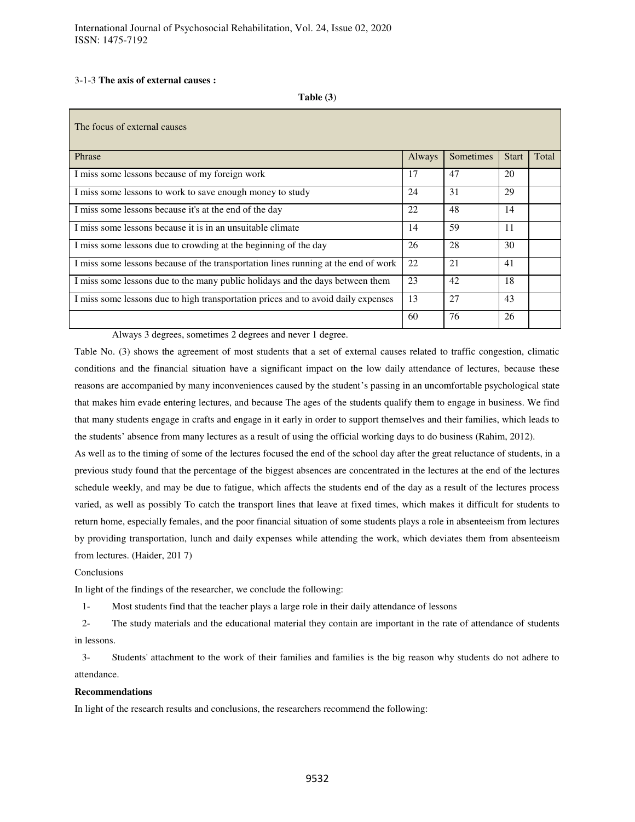# 3-1-3 **The axis of external causes :**

**Table (3**)

| The focus of external causes                                                       |        |           |              |       |
|------------------------------------------------------------------------------------|--------|-----------|--------------|-------|
| Phrase                                                                             | Always | Sometimes | <b>Start</b> | Total |
| I miss some lessons because of my foreign work                                     | 17     | 47        | 20           |       |
| I miss some lessons to work to save enough money to study                          | 24     | 31        | 29           |       |
| I miss some lessons because it's at the end of the day                             | 22     | 48        | 14           |       |
| I miss some lessons because it is in an unsuitable climate                         | 14     | 59        | 11           |       |
| I miss some lessons due to crowding at the beginning of the day                    | 26     | 28        | 30           |       |
| I miss some lessons because of the transportation lines running at the end of work | 22     | 21        | 41           |       |
| I miss some lessons due to the many public holidays and the days between them      | 23     | 42        | 18           |       |
| I miss some lessons due to high transportation prices and to avoid daily expenses  | 13     | 27        | 43           |       |
|                                                                                    | 60     | 76        | 26           |       |

Always 3 degrees, sometimes 2 degrees and never 1 degree.

Table No. (3) shows the agreement of most students that a set of external causes related to traffic congestion, climatic conditions and the financial situation have a significant impact on the low daily attendance of lectures, because these reasons are accompanied by many inconveniences caused by the student's passing in an uncomfortable psychological state that makes him evade entering lectures, and because The ages of the students qualify them to engage in business. We find that many students engage in crafts and engage in it early in order to support themselves and their families, which leads to the students' absence from many lectures as a result of using the official working days to do business (Rahim, 2012).

As well as to the timing of some of the lectures focused the end of the school day after the great reluctance of students, in a previous study found that the percentage of the biggest absences are concentrated in the lectures at the end of the lectures schedule weekly, and may be due to fatigue, which affects the students end of the day as a result of the lectures process varied, as well as possibly To catch the transport lines that leave at fixed times, which makes it difficult for students to return home, especially females, and the poor financial situation of some students plays a role in absenteeism from lectures by providing transportation, lunch and daily expenses while attending the work, which deviates them from absenteeism from lectures. (Haider, 201 7)

Conclusions

In light of the findings of the researcher, we conclude the following:

1- Most students find that the teacher plays a large role in their daily attendance of lessons

2- The study materials and the educational material they contain are important in the rate of attendance of students in lessons.

3- Students' attachment to the work of their families and families is the big reason why students do not adhere to attendance.

# **Recommendations**

In light of the research results and conclusions, the researchers recommend the following: